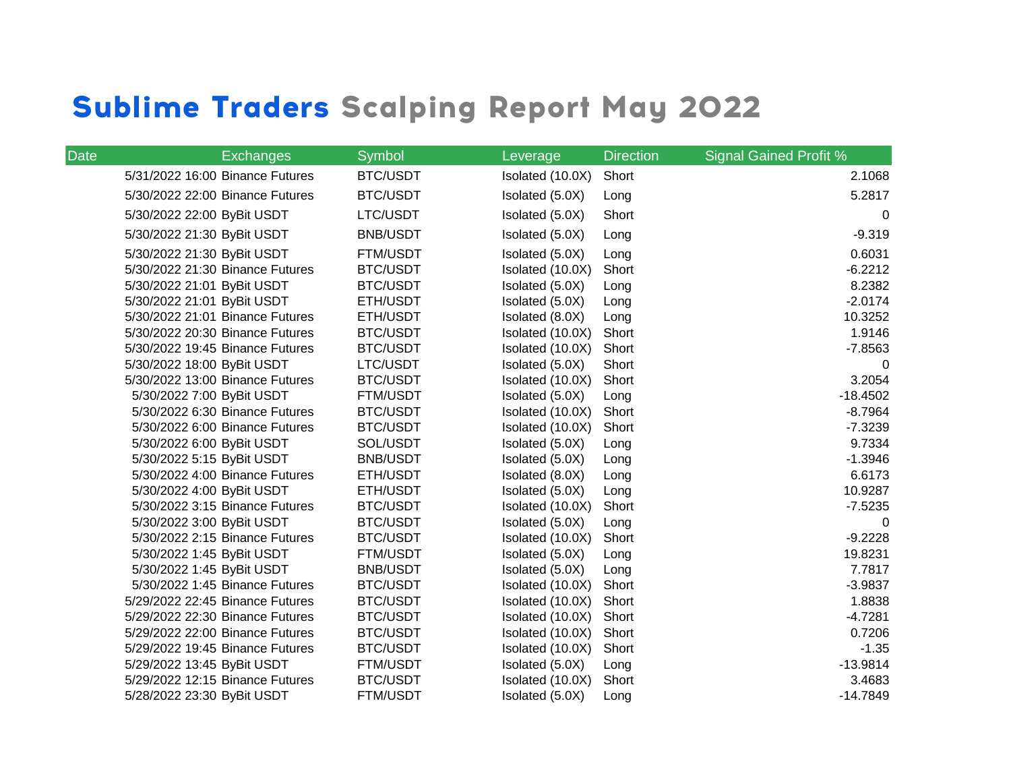## **Sublime Traders Scalping Report May 2022**

| <b>Date</b> | <b>Exchanges</b>                | Symbol          | Leverage         | <b>Direction</b> | <b>Signal Gained Profit %</b> |
|-------------|---------------------------------|-----------------|------------------|------------------|-------------------------------|
|             | 5/31/2022 16:00 Binance Futures | <b>BTC/USDT</b> | Isolated (10.0X) | Short            | 2.1068                        |
|             | 5/30/2022 22:00 Binance Futures | <b>BTC/USDT</b> | Isolated (5.0X)  | Long             | 5.2817                        |
|             | 5/30/2022 22:00 ByBit USDT      | LTC/USDT        | Isolated (5.0X)  | Short            | $\mathbf{0}$                  |
|             | 5/30/2022 21:30 ByBit USDT      | <b>BNB/USDT</b> | Isolated (5.0X)  | Long             | $-9.319$                      |
|             | 5/30/2022 21:30 ByBit USDT      | FTM/USDT        | Isolated (5.0X)  | Long             | 0.6031                        |
|             | 5/30/2022 21:30 Binance Futures | <b>BTC/USDT</b> | Isolated (10.0X) | Short            | $-6.2212$                     |
|             | 5/30/2022 21:01 ByBit USDT      | <b>BTC/USDT</b> | Isolated (5.0X)  | Long             | 8.2382                        |
|             | 5/30/2022 21:01 ByBit USDT      | ETH/USDT        | Isolated (5.0X)  | Long             | $-2.0174$                     |
|             | 5/30/2022 21:01 Binance Futures | ETH/USDT        | Isolated (8.0X)  | Long             | 10.3252                       |
|             | 5/30/2022 20:30 Binance Futures | <b>BTC/USDT</b> | Isolated (10.0X) | Short            | 1.9146                        |
|             | 5/30/2022 19:45 Binance Futures | <b>BTC/USDT</b> | Isolated (10.0X) | Short            | $-7.8563$                     |
|             | 5/30/2022 18:00 ByBit USDT      | LTC/USDT        | Isolated (5.0X)  | Short            | 0                             |
|             | 5/30/2022 13:00 Binance Futures | <b>BTC/USDT</b> | Isolated (10.0X) | Short            | 3.2054                        |
|             | 5/30/2022 7:00 ByBit USDT       | FTM/USDT        | Isolated (5.0X)  | Long             | $-18.4502$                    |
|             | 5/30/2022 6:30 Binance Futures  | <b>BTC/USDT</b> | Isolated (10.0X) | Short            | $-8.7964$                     |
|             | 5/30/2022 6:00 Binance Futures  | <b>BTC/USDT</b> | Isolated (10.0X) | Short            | $-7.3239$                     |
|             | 5/30/2022 6:00 ByBit USDT       | SOL/USDT        | Isolated (5.0X)  | Long             | 9.7334                        |
|             | 5/30/2022 5:15 ByBit USDT       | <b>BNB/USDT</b> | Isolated (5.0X)  | Long             | $-1.3946$                     |
|             | 5/30/2022 4:00 Binance Futures  | ETH/USDT        | Isolated (8.0X)  | Long             | 6.6173                        |
|             | 5/30/2022 4:00 ByBit USDT       | ETH/USDT        | Isolated (5.0X)  | Long             | 10.9287                       |
|             | 5/30/2022 3:15 Binance Futures  | <b>BTC/USDT</b> | Isolated (10.0X) | Short            | $-7.5235$                     |
|             | 5/30/2022 3:00 ByBit USDT       | <b>BTC/USDT</b> | Isolated (5.0X)  | Long             | $\Omega$                      |
|             | 5/30/2022 2:15 Binance Futures  | <b>BTC/USDT</b> | Isolated (10.0X) | Short            | $-9.2228$                     |
|             | 5/30/2022 1:45 ByBit USDT       | <b>FTM/USDT</b> | Isolated (5.0X)  | Long             | 19.8231                       |
|             | 5/30/2022 1:45 ByBit USDT       | <b>BNB/USDT</b> | Isolated (5.0X)  | Long             | 7.7817                        |
|             | 5/30/2022 1:45 Binance Futures  | <b>BTC/USDT</b> | Isolated (10.0X) | Short            | $-3.9837$                     |
|             | 5/29/2022 22:45 Binance Futures | <b>BTC/USDT</b> | Isolated (10.0X) | Short            | 1.8838                        |
|             | 5/29/2022 22:30 Binance Futures | <b>BTC/USDT</b> | Isolated (10.0X) | Short            | $-4.7281$                     |
|             | 5/29/2022 22:00 Binance Futures | <b>BTC/USDT</b> | Isolated (10.0X) | Short            | 0.7206                        |
|             | 5/29/2022 19:45 Binance Futures | <b>BTC/USDT</b> | Isolated (10.0X) | Short            | $-1.35$                       |
|             | 5/29/2022 13:45 ByBit USDT      | FTM/USDT        | Isolated (5.0X)  | Long             | $-13.9814$                    |
|             | 5/29/2022 12:15 Binance Futures | <b>BTC/USDT</b> | Isolated (10.0X) | Short            | 3.4683                        |
|             | 5/28/2022 23:30 ByBit USDT      | <b>FTM/USDT</b> | Isolated (5.0X)  | Long             | $-14.7849$                    |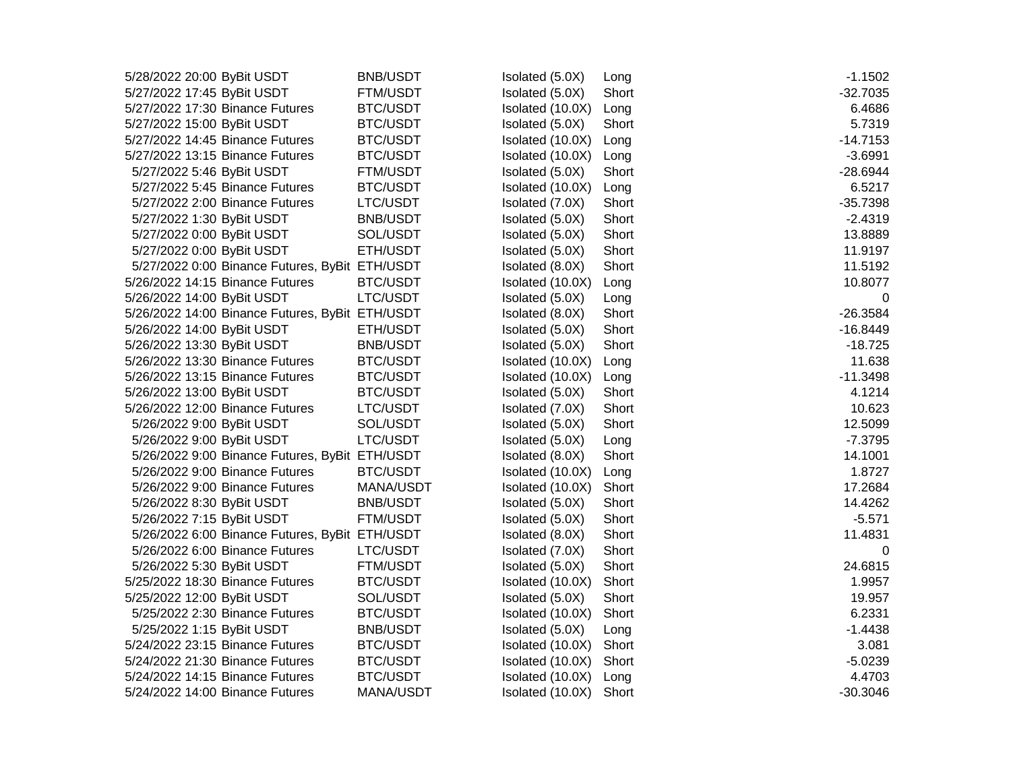| 5/28/2022 20:00 ByBit USDT                      | <b>BNB/USDT</b> | Isolated (5.0X)  | Long  | $-1.1502$  |
|-------------------------------------------------|-----------------|------------------|-------|------------|
| 5/27/2022 17:45 ByBit USDT                      | <b>FTM/USDT</b> | Isolated (5.0X)  | Short | $-32.7035$ |
| 5/27/2022 17:30 Binance Futures                 | <b>BTC/USDT</b> | Isolated (10.0X) | Long  | 6.4686     |
| 5/27/2022 15:00 ByBit USDT                      | <b>BTC/USDT</b> | Isolated (5.0X)  | Short | 5.7319     |
| 5/27/2022 14:45 Binance Futures                 | <b>BTC/USDT</b> | Isolated (10.0X) | Long  | $-14.7153$ |
| 5/27/2022 13:15 Binance Futures                 | BTC/USDT        | Isolated (10.0X) | Long  | $-3.6991$  |
| 5/27/2022 5:46 ByBit USDT                       | FTM/USDT        | Isolated (5.0X)  | Short | $-28.6944$ |
| 5/27/2022 5:45 Binance Futures                  | <b>BTC/USDT</b> | Isolated (10.0X) | Long  | 6.5217     |
| 5/27/2022 2:00 Binance Futures                  | LTC/USDT        | Isolated (7.0X)  | Short | $-35.7398$ |
| 5/27/2022 1:30 ByBit USDT                       | <b>BNB/USDT</b> | Isolated (5.0X)  | Short | $-2.4319$  |
| 5/27/2022 0:00 ByBit USDT                       | SOL/USDT        | Isolated (5.0X)  | Short | 13.8889    |
| 5/27/2022 0:00 ByBit USDT                       | ETH/USDT        | Isolated (5.0X)  | Short | 11.9197    |
| 5/27/2022 0:00 Binance Futures, ByBit ETH/USDT  |                 | Isolated (8.0X)  | Short | 11.5192    |
| 5/26/2022 14:15 Binance Futures                 | <b>BTC/USDT</b> | Isolated (10.0X) | Long  | 10.8077    |
| 5/26/2022 14:00 ByBit USDT                      | LTC/USDT        | Isolated (5.0X)  | Long  | 0          |
| 5/26/2022 14:00 Binance Futures, ByBit ETH/USDT |                 | Isolated (8.0X)  | Short | $-26.3584$ |
| 5/26/2022 14:00 ByBit USDT                      | ETH/USDT        | Isolated (5.0X)  | Short | $-16.8449$ |
| 5/26/2022 13:30 ByBit USDT                      | <b>BNB/USDT</b> | Isolated (5.0X)  | Short | $-18.725$  |
| 5/26/2022 13:30 Binance Futures                 | <b>BTC/USDT</b> | Isolated (10.0X) | Long  | 11.638     |
| 5/26/2022 13:15 Binance Futures                 | <b>BTC/USDT</b> | Isolated (10.0X) | Long  | $-11.3498$ |
| 5/26/2022 13:00 ByBit USDT                      | <b>BTC/USDT</b> | Isolated (5.0X)  | Short | 4.1214     |
| 5/26/2022 12:00 Binance Futures                 | LTC/USDT        | Isolated (7.0X)  | Short | 10.623     |
| 5/26/2022 9:00 ByBit USDT                       | SOL/USDT        | Isolated (5.0X)  | Short | 12.5099    |
| 5/26/2022 9:00 ByBit USDT                       | LTC/USDT        | Isolated (5.0X)  | Long  | $-7.3795$  |
| 5/26/2022 9:00 Binance Futures, ByBit ETH/USDT  |                 | Isolated (8.0X)  | Short | 14.1001    |
| 5/26/2022 9:00 Binance Futures                  | <b>BTC/USDT</b> | Isolated (10.0X) | Long  | 1.8727     |
| 5/26/2022 9:00 Binance Futures                  | MANA/USDT       | Isolated (10.0X) | Short | 17.2684    |
| 5/26/2022 8:30 ByBit USDT                       | <b>BNB/USDT</b> | Isolated (5.0X)  | Short | 14.4262    |
| 5/26/2022 7:15 ByBit USDT                       | <b>FTM/USDT</b> | Isolated (5.0X)  | Short | $-5.571$   |
| 5/26/2022 6:00 Binance Futures, ByBit ETH/USDT  |                 | Isolated (8.0X)  | Short | 11.4831    |
| 5/26/2022 6:00 Binance Futures                  | LTC/USDT        | Isolated (7.0X)  | Short | 0          |
| 5/26/2022 5:30 ByBit USDT                       | <b>FTM/USDT</b> | Isolated (5.0X)  | Short | 24.6815    |
| 5/25/2022 18:30 Binance Futures                 | <b>BTC/USDT</b> | Isolated (10.0X) | Short | 1.9957     |
| 5/25/2022 12:00 ByBit USDT                      | SOL/USDT        | Isolated (5.0X)  | Short | 19.957     |
| 5/25/2022 2:30 Binance Futures                  | <b>BTC/USDT</b> | Isolated (10.0X) | Short | 6.2331     |
| 5/25/2022 1:15 ByBit USDT                       | <b>BNB/USDT</b> | Isolated (5.0X)  | Long  | $-1.4438$  |
| 5/24/2022 23:15 Binance Futures                 | <b>BTC/USDT</b> | Isolated (10.0X) | Short | 3.081      |
| 5/24/2022 21:30 Binance Futures                 | <b>BTC/USDT</b> | Isolated (10.0X) | Short | $-5.0239$  |
| 5/24/2022 14:15 Binance Futures                 | <b>BTC/USDT</b> | Isolated (10.0X) | Long  | 4.4703     |
| 5/24/2022 14:00 Binance Futures                 | MANA/USDT       | Isolated (10.0X) | Short | $-30.3046$ |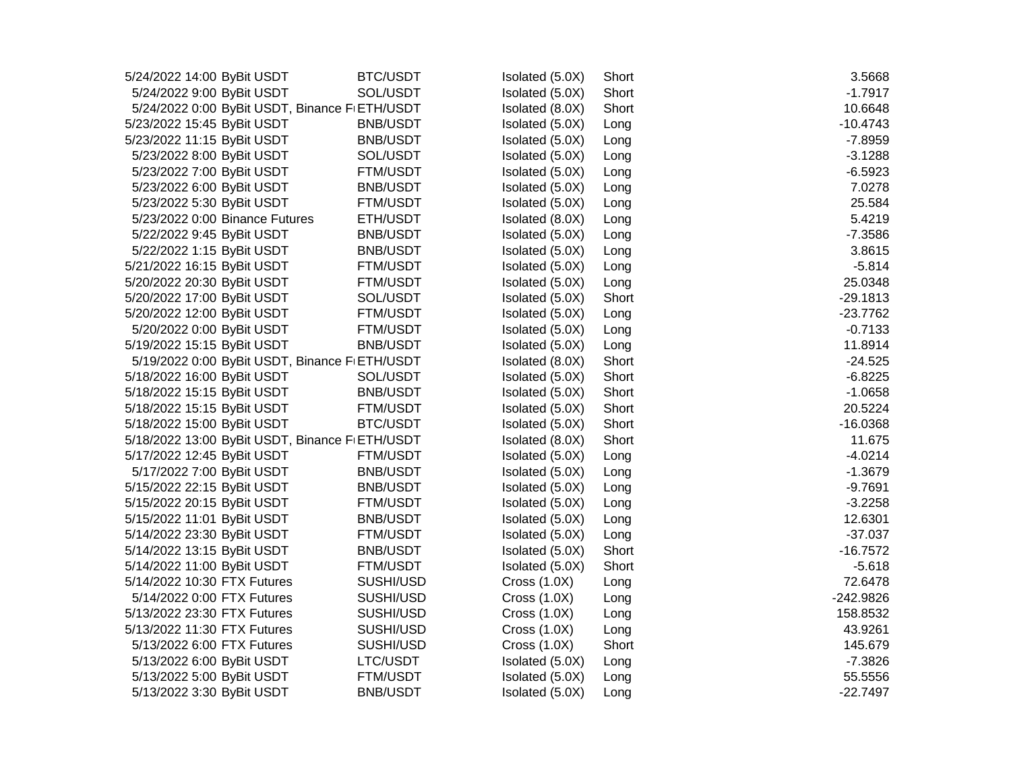| 5/24/2022 14:00 ByBit USDT                     | <b>BTC/USDT</b> | Isolated (5.0X) | Short | 3.5668      |
|------------------------------------------------|-----------------|-----------------|-------|-------------|
| 5/24/2022 9:00 ByBit USDT                      | SOL/USDT        | Isolated (5.0X) | Short | $-1.7917$   |
| 5/24/2022 0:00 ByBit USDT, Binance FIETH/USDT  |                 | Isolated (8.0X) | Short | 10.6648     |
| 5/23/2022 15:45 ByBit USDT                     | <b>BNB/USDT</b> | Isolated (5.0X) | Long  | $-10.4743$  |
| 5/23/2022 11:15 ByBit USDT                     | <b>BNB/USDT</b> | Isolated (5.0X) | Long  | $-7.8959$   |
| 5/23/2022 8:00 ByBit USDT                      | SOL/USDT        | Isolated (5.0X) | Long  | $-3.1288$   |
| 5/23/2022 7:00 ByBit USDT                      | <b>FTM/USDT</b> | Isolated (5.0X) | Long  | $-6.5923$   |
| 5/23/2022 6:00 ByBit USDT                      | <b>BNB/USDT</b> | Isolated (5.0X) | Long  | 7.0278      |
| 5/23/2022 5:30 ByBit USDT                      | <b>FTM/USDT</b> | Isolated (5.0X) | Long  | 25.584      |
| 5/23/2022 0:00 Binance Futures                 | ETH/USDT        | Isolated (8.0X) | Long  | 5.4219      |
| 5/22/2022 9:45 ByBit USDT                      | <b>BNB/USDT</b> | Isolated (5.0X) | Long  | $-7.3586$   |
| 5/22/2022 1:15 ByBit USDT                      | <b>BNB/USDT</b> | Isolated (5.0X) | Long  | 3.8615      |
| 5/21/2022 16:15 ByBit USDT                     | <b>FTM/USDT</b> | Isolated (5.0X) | Long  | $-5.814$    |
| 5/20/2022 20:30 ByBit USDT                     | <b>FTM/USDT</b> | Isolated (5.0X) | Long  | 25.0348     |
| 5/20/2022 17:00 ByBit USDT                     | SOL/USDT        | Isolated (5.0X) | Short | $-29.1813$  |
| 5/20/2022 12:00 ByBit USDT                     | <b>FTM/USDT</b> | Isolated (5.0X) | Long  | $-23.7762$  |
| 5/20/2022 0:00 ByBit USDT                      | <b>FTM/USDT</b> | Isolated (5.0X) | Long  | $-0.7133$   |
| 5/19/2022 15:15 ByBit USDT                     | <b>BNB/USDT</b> | Isolated (5.0X) | Long  | 11.8914     |
| 5/19/2022 0:00 ByBit USDT, Binance F ETH/USDT  |                 | Isolated (8.0X) | Short | $-24.525$   |
| 5/18/2022 16:00 ByBit USDT                     | SOL/USDT        | Isolated (5.0X) | Short | $-6.8225$   |
| 5/18/2022 15:15 ByBit USDT                     | <b>BNB/USDT</b> | Isolated (5.0X) | Short | $-1.0658$   |
| 5/18/2022 15:15 ByBit USDT                     | <b>FTM/USDT</b> | Isolated (5.0X) | Short | 20.5224     |
| 5/18/2022 15:00 ByBit USDT                     | <b>BTC/USDT</b> | Isolated (5.0X) | Short | $-16.0368$  |
| 5/18/2022 13:00 ByBit USDT, Binance FIETH/USDT |                 | Isolated (8.0X) | Short | 11.675      |
| 5/17/2022 12:45 ByBit USDT                     | <b>FTM/USDT</b> | Isolated (5.0X) | Long  | $-4.0214$   |
| 5/17/2022 7:00 ByBit USDT                      | <b>BNB/USDT</b> | Isolated (5.0X) | Long  | $-1.3679$   |
| 5/15/2022 22:15 ByBit USDT                     | <b>BNB/USDT</b> | Isolated (5.0X) | Long  | $-9.7691$   |
| 5/15/2022 20:15 ByBit USDT                     | <b>FTM/USDT</b> | Isolated (5.0X) | Long  | $-3.2258$   |
| 5/15/2022 11:01 ByBit USDT                     | <b>BNB/USDT</b> | Isolated (5.0X) | Long  | 12.6301     |
| 5/14/2022 23:30 ByBit USDT                     | <b>FTM/USDT</b> | Isolated (5.0X) | Long  | $-37.037$   |
| 5/14/2022 13:15 ByBit USDT                     | <b>BNB/USDT</b> | Isolated (5.0X) | Short | $-16.7572$  |
| 5/14/2022 11:00 ByBit USDT                     | <b>FTM/USDT</b> | Isolated (5.0X) | Short | $-5.618$    |
| 5/14/2022 10:30 FTX Futures                    | SUSHI/USD       | Cross $(1.0X)$  | Long  | 72.6478     |
| 5/14/2022 0:00 FTX Futures                     | SUSHI/USD       | Cross $(1.0X)$  | Long  | $-242.9826$ |
| 5/13/2022 23:30 FTX Futures                    | SUSHI/USD       | Cross(1.0X)     | Long  | 158.8532    |
| 5/13/2022 11:30 FTX Futures                    | SUSHI/USD       | Cross $(1.0X)$  | Long  | 43.9261     |
| 5/13/2022 6:00 FTX Futures                     | SUSHI/USD       | Cross $(1.0X)$  | Short | 145.679     |
| 5/13/2022 6:00 ByBit USDT                      | LTC/USDT        | Isolated (5.0X) | Long  | $-7.3826$   |
| 5/13/2022 5:00 ByBit USDT                      | <b>FTM/USDT</b> | Isolated (5.0X) | Long  | 55.5556     |
| 5/13/2022 3:30 ByBit USDT                      | <b>BNB/USDT</b> | Isolated (5.0X) | Long  | $-22.7497$  |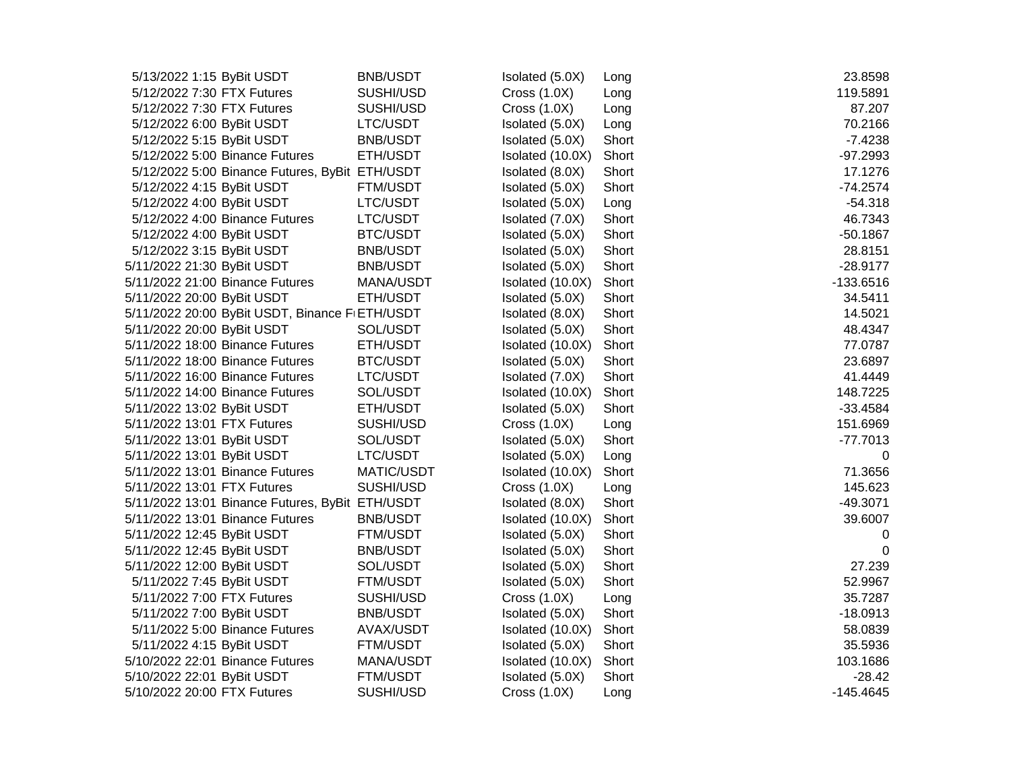| 5/13/2022 1:15 ByBit USDT       | <b>BNB/USDT</b>                                 | Isolated (5.0X)  | Long  | 23.8598     |
|---------------------------------|-------------------------------------------------|------------------|-------|-------------|
| 5/12/2022 7:30 FTX Futures      | SUSHI/USD                                       | Cross $(1.0X)$   | Long  | 119.5891    |
| 5/12/2022 7:30 FTX Futures      | SUSHI/USD                                       | Cross $(1.0X)$   | Long  | 87.207      |
| 5/12/2022 6:00 ByBit USDT       | LTC/USDT                                        | Isolated (5.0X)  | Long  | 70.2166     |
| 5/12/2022 5:15 ByBit USDT       | <b>BNB/USDT</b>                                 | Isolated (5.0X)  | Short | $-7.4238$   |
| 5/12/2022 5:00 Binance Futures  | ETH/USDT                                        | Isolated (10.0X) | Short | $-97.2993$  |
|                                 | 5/12/2022 5:00 Binance Futures, ByBit ETH/USDT  | Isolated (8.0X)  | Short | 17.1276     |
| 5/12/2022 4:15 ByBit USDT       | <b>FTM/USDT</b>                                 | Isolated (5.0X)  | Short | $-74.2574$  |
| 5/12/2022 4:00 ByBit USDT       | LTC/USDT                                        | Isolated (5.0X)  | Long  | $-54.318$   |
| 5/12/2022 4:00 Binance Futures  | LTC/USDT                                        | Isolated (7.0X)  | Short | 46.7343     |
| 5/12/2022 4:00 ByBit USDT       | <b>BTC/USDT</b>                                 | Isolated (5.0X)  | Short | $-50.1867$  |
| 5/12/2022 3:15 ByBit USDT       | <b>BNB/USDT</b>                                 | Isolated (5.0X)  | Short | 28.8151     |
| 5/11/2022 21:30 ByBit USDT      | <b>BNB/USDT</b>                                 | Isolated (5.0X)  | Short | $-28.9177$  |
| 5/11/2022 21:00 Binance Futures | MANA/USDT                                       | Isolated (10.0X) | Short | $-133.6516$ |
| 5/11/2022 20:00 ByBit USDT      | ETH/USDT                                        | Isolated (5.0X)  | Short | 34.5411     |
|                                 | 5/11/2022 20:00 ByBit USDT, Binance FIETH/USDT  | Isolated (8.0X)  | Short | 14.5021     |
| 5/11/2022 20:00 ByBit USDT      | SOL/USDT                                        | Isolated (5.0X)  | Short | 48.4347     |
| 5/11/2022 18:00 Binance Futures | ETH/USDT                                        | Isolated (10.0X) | Short | 77.0787     |
| 5/11/2022 18:00 Binance Futures | <b>BTC/USDT</b>                                 | Isolated (5.0X)  | Short | 23.6897     |
| 5/11/2022 16:00 Binance Futures | LTC/USDT                                        | Isolated (7.0X)  | Short | 41.4449     |
| 5/11/2022 14:00 Binance Futures | SOL/USDT                                        | Isolated (10.0X) | Short | 148.7225    |
| 5/11/2022 13:02 ByBit USDT      | ETH/USDT                                        | Isolated (5.0X)  | Short | $-33.4584$  |
| 5/11/2022 13:01 FTX Futures     | SUSHI/USD                                       | Cross(1.0X)      | Long  | 151.6969    |
| 5/11/2022 13:01 ByBit USDT      | SOL/USDT                                        | Isolated (5.0X)  | Short | $-77.7013$  |
| 5/11/2022 13:01 ByBit USDT      | LTC/USDT                                        | Isolated (5.0X)  | Long  | $\mathbf 0$ |
| 5/11/2022 13:01 Binance Futures | MATIC/USDT                                      | Isolated (10.0X) | Short | 71.3656     |
| 5/11/2022 13:01 FTX Futures     | SUSHI/USD                                       | Cross(1.0X)      | Long  | 145.623     |
|                                 | 5/11/2022 13:01 Binance Futures, ByBit ETH/USDT | Isolated (8.0X)  | Short | $-49.3071$  |
| 5/11/2022 13:01 Binance Futures | <b>BNB/USDT</b>                                 | Isolated (10.0X) | Short | 39.6007     |
| 5/11/2022 12:45 ByBit USDT      | <b>FTM/USDT</b>                                 | Isolated (5.0X)  | Short | 0           |
| 5/11/2022 12:45 ByBit USDT      | <b>BNB/USDT</b>                                 | Isolated (5.0X)  | Short | 0           |
| 5/11/2022 12:00 ByBit USDT      | SOL/USDT                                        | Isolated (5.0X)  | Short | 27.239      |
| 5/11/2022 7:45 ByBit USDT       | FTM/USDT                                        | Isolated (5.0X)  | Short | 52.9967     |
| 5/11/2022 7:00 FTX Futures      | SUSHI/USD                                       | Cross(1.0X)      | Long  | 35.7287     |
| 5/11/2022 7:00 ByBit USDT       | <b>BNB/USDT</b>                                 | Isolated (5.0X)  | Short | $-18.0913$  |
| 5/11/2022 5:00 Binance Futures  | AVAX/USDT                                       | Isolated (10.0X) | Short | 58.0839     |
| 5/11/2022 4:15 ByBit USDT       | <b>FTM/USDT</b>                                 | Isolated (5.0X)  | Short | 35.5936     |
| 5/10/2022 22:01 Binance Futures | MANA/USDT                                       | Isolated (10.0X) | Short | 103.1686    |
| 5/10/2022 22:01 ByBit USDT      | <b>FTM/USDT</b>                                 | Isolated (5.0X)  | Short | $-28.42$    |
| 5/10/2022 20:00 FTX Futures     | SUSHI/USD                                       | Cross $(1.0X)$   | Long  | $-145.4645$ |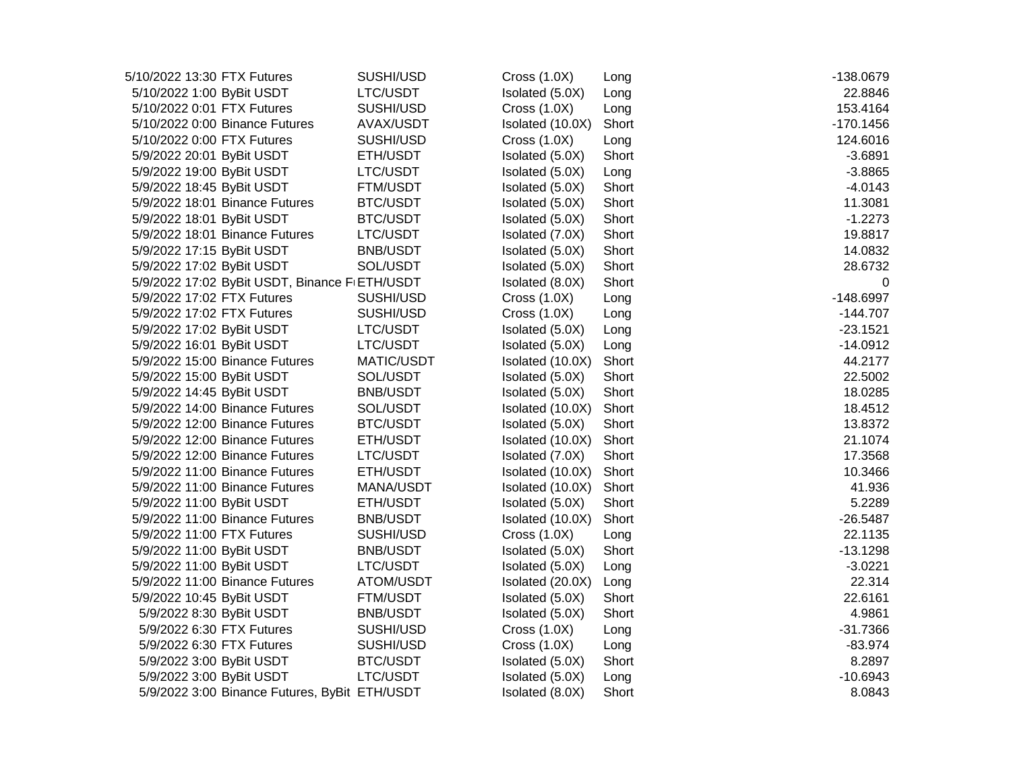| 5/10/2022 13:30 FTX Futures                   | SUSHI/USD       | Cross $(1.0X)$   | Long  | -138.0679   |
|-----------------------------------------------|-----------------|------------------|-------|-------------|
| 5/10/2022 1:00 ByBit USDT                     | LTC/USDT        | Isolated (5.0X)  | Long  | 22.8846     |
| 5/10/2022 0:01 FTX Futures                    | SUSHI/USD       | Cross $(1.0X)$   | Long  | 153.4164    |
| 5/10/2022 0:00 Binance Futures                | AVAX/USDT       | Isolated (10.0X) | Short | $-170.1456$ |
| 5/10/2022 0:00 FTX Futures                    | SUSHI/USD       | Cross(1.0X)      | Long  | 124.6016    |
| 5/9/2022 20:01 ByBit USDT                     | ETH/USDT        | Isolated (5.0X)  | Short | $-3.6891$   |
| 5/9/2022 19:00 ByBit USDT                     | LTC/USDT        | Isolated (5.0X)  | Long  | $-3.8865$   |
| 5/9/2022 18:45 ByBit USDT                     | <b>FTM/USDT</b> | Isolated (5.0X)  | Short | $-4.0143$   |
| 5/9/2022 18:01 Binance Futures                | <b>BTC/USDT</b> | Isolated (5.0X)  | Short | 11.3081     |
| 5/9/2022 18:01 ByBit USDT                     | <b>BTC/USDT</b> | Isolated (5.0X)  | Short | $-1.2273$   |
| 5/9/2022 18:01 Binance Futures                | LTC/USDT        | Isolated (7.0X)  | Short | 19.8817     |
| 5/9/2022 17:15 ByBit USDT                     | <b>BNB/USDT</b> | Isolated (5.0X)  | Short | 14.0832     |
| 5/9/2022 17:02 ByBit USDT                     | SOL/USDT        | Isolated (5.0X)  | Short | 28.6732     |
| 5/9/2022 17:02 ByBit USDT, Binance FIETH/USDT |                 | Isolated (8.0X)  | Short | 0           |
| 5/9/2022 17:02 FTX Futures                    | SUSHI/USD       | Cross $(1.0X)$   | Long  | $-148.6997$ |
| 5/9/2022 17:02 FTX Futures                    | SUSHI/USD       | Cross $(1.0X)$   | Long  | $-144.707$  |
| 5/9/2022 17:02 ByBit USDT                     | LTC/USDT        | Isolated (5.0X)  | Long  | $-23.1521$  |
| 5/9/2022 16:01 ByBit USDT                     | LTC/USDT        | Isolated (5.0X)  | Long  | $-14.0912$  |
| 5/9/2022 15:00 Binance Futures                | MATIC/USDT      | Isolated (10.0X) | Short | 44.2177     |
| 5/9/2022 15:00 ByBit USDT                     | SOL/USDT        | Isolated (5.0X)  | Short | 22.5002     |
| 5/9/2022 14:45 ByBit USDT                     | <b>BNB/USDT</b> | Isolated (5.0X)  | Short | 18.0285     |
| 5/9/2022 14:00 Binance Futures                | SOL/USDT        | Isolated (10.0X) | Short | 18.4512     |
| 5/9/2022 12:00 Binance Futures                | <b>BTC/USDT</b> | Isolated (5.0X)  | Short | 13.8372     |
| 5/9/2022 12:00 Binance Futures                | ETH/USDT        | Isolated (10.0X) | Short | 21.1074     |
| 5/9/2022 12:00 Binance Futures                | LTC/USDT        | Isolated (7.0X)  | Short | 17.3568     |
| 5/9/2022 11:00 Binance Futures                | ETH/USDT        | Isolated (10.0X) | Short | 10.3466     |
| 5/9/2022 11:00 Binance Futures                | MANA/USDT       | Isolated (10.0X) | Short | 41.936      |
| 5/9/2022 11:00 ByBit USDT                     | ETH/USDT        | Isolated (5.0X)  | Short | 5.2289      |
| 5/9/2022 11:00 Binance Futures                | <b>BNB/USDT</b> | Isolated (10.0X) | Short | $-26.5487$  |
| 5/9/2022 11:00 FTX Futures                    | SUSHI/USD       | Cross(1.0X)      | Long  | 22.1135     |
| 5/9/2022 11:00 ByBit USDT                     | <b>BNB/USDT</b> | Isolated (5.0X)  | Short | $-13.1298$  |
| 5/9/2022 11:00 ByBit USDT                     | LTC/USDT        | Isolated (5.0X)  | Long  | $-3.0221$   |
| 5/9/2022 11:00 Binance Futures                | ATOM/USDT       | Isolated (20.0X) | Long  | 22.314      |
| 5/9/2022 10:45 ByBit USDT                     | <b>FTM/USDT</b> | Isolated (5.0X)  | Short | 22.6161     |
| 5/9/2022 8:30 ByBit USDT                      | <b>BNB/USDT</b> | Isolated (5.0X)  | Short | 4.9861      |
| 5/9/2022 6:30 FTX Futures                     | SUSHI/USD       | Cross(1.0X)      | Long  | $-31.7366$  |
| 5/9/2022 6:30 FTX Futures                     | SUSHI/USD       | Cross(1.0X)      | Long  | $-83.974$   |
| 5/9/2022 3:00 ByBit USDT                      | <b>BTC/USDT</b> | Isolated (5.0X)  | Short | 8.2897      |
| 5/9/2022 3:00 ByBit USDT                      | LTC/USDT        | Isolated (5.0X)  | Long  | $-10.6943$  |
| 5/9/2022 3:00 Binance Futures, ByBit ETH/USDT |                 | Isolated (8.0X)  | Short | 8.0843      |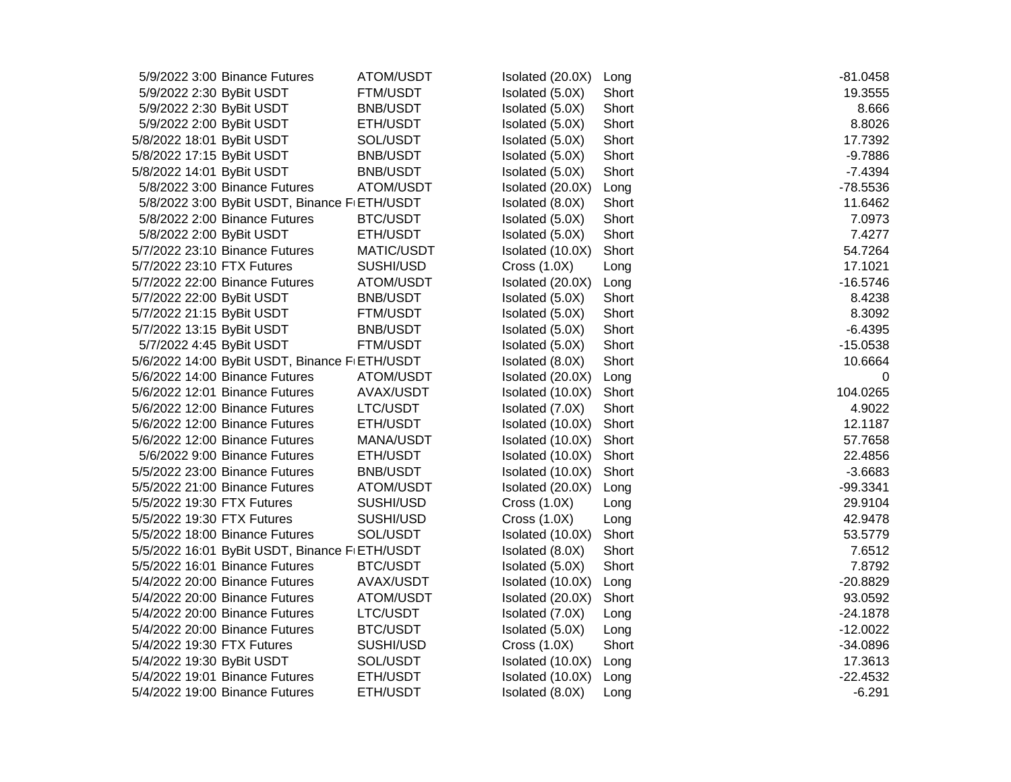| 5/9/2022 3:00 Binance Futures                 | ATOM/USDT       | Isolated (20.0X) | Long  | $-81.0458$ |
|-----------------------------------------------|-----------------|------------------|-------|------------|
| 5/9/2022 2:30 ByBit USDT                      | <b>FTM/USDT</b> | Isolated (5.0X)  | Short | 19.3555    |
| 5/9/2022 2:30 ByBit USDT                      | <b>BNB/USDT</b> | Isolated (5.0X)  | Short | 8.666      |
| 5/9/2022 2:00 ByBit USDT                      | ETH/USDT        | Isolated (5.0X)  | Short | 8.8026     |
| 5/8/2022 18:01 ByBit USDT                     | SOL/USDT        | Isolated (5.0X)  | Short | 17.7392    |
| 5/8/2022 17:15 ByBit USDT                     | <b>BNB/USDT</b> | Isolated (5.0X)  | Short | $-9.7886$  |
| 5/8/2022 14:01 ByBit USDT                     | <b>BNB/USDT</b> | Isolated (5.0X)  | Short | $-7.4394$  |
| 5/8/2022 3:00 Binance Futures                 | ATOM/USDT       | Isolated (20.0X) | Long  | $-78.5536$ |
| 5/8/2022 3:00 ByBit USDT, Binance FIETH/USDT  |                 | Isolated (8.0X)  | Short | 11.6462    |
| 5/8/2022 2:00 Binance Futures                 | <b>BTC/USDT</b> | Isolated (5.0X)  | Short | 7.0973     |
| 5/8/2022 2:00 ByBit USDT                      | ETH/USDT        | Isolated (5.0X)  | Short | 7.4277     |
| 5/7/2022 23:10 Binance Futures                | MATIC/USDT      | Isolated (10.0X) | Short | 54.7264    |
| 5/7/2022 23:10 FTX Futures                    | SUSHI/USD       | Cross(1.0X)      | Long  | 17.1021    |
| 5/7/2022 22:00 Binance Futures                | ATOM/USDT       | Isolated (20.0X) | Long  | $-16.5746$ |
| 5/7/2022 22:00 ByBit USDT                     | <b>BNB/USDT</b> | Isolated (5.0X)  | Short | 8.4238     |
| 5/7/2022 21:15 ByBit USDT                     | <b>FTM/USDT</b> | Isolated (5.0X)  | Short | 8.3092     |
| 5/7/2022 13:15 ByBit USDT                     | <b>BNB/USDT</b> | Isolated (5.0X)  | Short | $-6.4395$  |
| 5/7/2022 4:45 ByBit USDT                      | <b>FTM/USDT</b> | Isolated (5.0X)  | Short | $-15.0538$ |
| 5/6/2022 14:00 ByBit USDT, Binance F ETH/USDT |                 | Isolated (8.0X)  | Short | 10.6664    |
| 5/6/2022 14:00 Binance Futures                | ATOM/USDT       | Isolated (20.0X) | Long  | 0          |
| 5/6/2022 12:01 Binance Futures                | AVAX/USDT       | Isolated (10.0X) | Short | 104.0265   |
| 5/6/2022 12:00 Binance Futures                | LTC/USDT        | Isolated (7.0X)  | Short | 4.9022     |
| 5/6/2022 12:00 Binance Futures                | ETH/USDT        | Isolated (10.0X) | Short | 12.1187    |
| 5/6/2022 12:00 Binance Futures                | MANA/USDT       | Isolated (10.0X) | Short | 57.7658    |
| 5/6/2022 9:00 Binance Futures                 | ETH/USDT        | Isolated (10.0X) | Short | 22.4856    |
| 5/5/2022 23:00 Binance Futures                | <b>BNB/USDT</b> | Isolated (10.0X) | Short | $-3.6683$  |
| 5/5/2022 21:00 Binance Futures                | ATOM/USDT       | Isolated (20.0X) | Long  | $-99.3341$ |
| 5/5/2022 19:30 FTX Futures                    | SUSHI/USD       | Cross $(1.0X)$   | Long  | 29.9104    |
| 5/5/2022 19:30 FTX Futures                    | SUSHI/USD       | Cross $(1.0X)$   | Long  | 42.9478    |
| 5/5/2022 18:00 Binance Futures                | SOL/USDT        | Isolated (10.0X) | Short | 53.5779    |
| 5/5/2022 16:01 ByBit USDT, Binance F ETH/USDT |                 | Isolated (8.0X)  | Short | 7.6512     |
| 5/5/2022 16:01 Binance Futures                | <b>BTC/USDT</b> | Isolated (5.0X)  | Short | 7.8792     |
| 5/4/2022 20:00 Binance Futures                | AVAX/USDT       | Isolated (10.0X) | Long  | $-20.8829$ |
| 5/4/2022 20:00 Binance Futures                | ATOM/USDT       | Isolated (20.0X) | Short | 93.0592    |
| 5/4/2022 20:00 Binance Futures                | LTC/USDT        | Isolated (7.0X)  | Long  | $-24.1878$ |
| 5/4/2022 20:00 Binance Futures                | <b>BTC/USDT</b> | Isolated (5.0X)  | Long  | $-12.0022$ |
| 5/4/2022 19:30 FTX Futures                    | SUSHI/USD       | Cross(1.0X)      | Short | $-34.0896$ |
| 5/4/2022 19:30 ByBit USDT                     | SOL/USDT        | Isolated (10.0X) | Long  | 17.3613    |
| 5/4/2022 19:01 Binance Futures                | ETH/USDT        | Isolated (10.0X) | Long  | $-22.4532$ |
| 5/4/2022 19:00 Binance Futures                | ETH/USDT        | Isolated (8.0X)  | Long  | $-6.291$   |